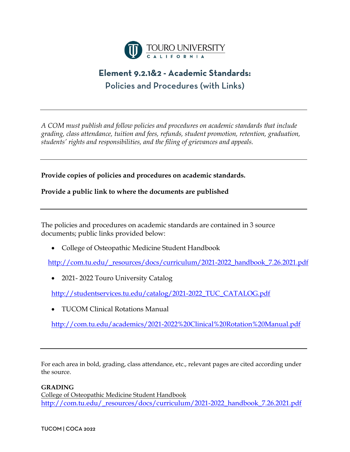

# **Element 9.2.1&2 - Academic Standards:** Policies and Procedures (with Links)

*A COM must publish and follow policies and procedures on academic standards that include grading, class attendance, tuition and fees, refunds, student promotion, retention, graduation, students' rights and responsibilities, and the filing of grievances and appeals.* 

**Provide copies of policies and procedures on academic standards.**

**Provide a public link to where the documents are published**

The policies and procedures on academic standards are contained in 3 source documents; public links provided below:

• College of Osteopathic Medicine Student Handbook

[http://com.tu.edu/\\_resources/docs/curriculum/2021-2022\\_handbook\\_7.26.2021.pdf](http://com.tu.edu/_resources/docs/curriculum/2021-2022_handbook_7.26.2021.pdf)

• 2021-2022 Touro University Catalog

[http://studentservices.tu.edu/catalog/2021-2022\\_TUC\\_CATALOG.pdf](http://studentservices.tu.edu/catalog/2021-2022_TUC_CATALOG.pdf)

• TUCOM Clinical Rotations Manual

<http://com.tu.edu/academics/2021-2022%20Clinical%20Rotation%20Manual.pdf>

For each area in bold, grading, class attendance, etc., relevant pages are cited according under the source.

## **GRADING**

College of Osteopathic Medicine Student Handbook [http://com.tu.edu/\\_resources/docs/curriculum/2021-2022\\_handbook\\_7.26.2021.pdf](http://com.tu.edu/_resources/docs/curriculum/2021-2022_handbook_7.26.2021.pdf)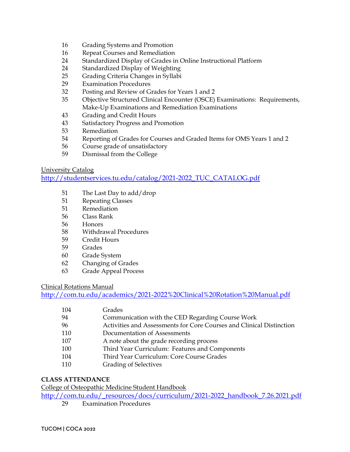- Grading Systems and Promotion
- Repeat Courses and Remediation
- Standardized Display of Grades in Online Instructional Platform
- Standardized Display of Weighting
- Grading Criteria Changes in Syllabi
- Examination Procedures
- Posting and Review of Grades for Years 1 and 2
- Objective Structured Clinical Encounter (OSCE) Examinations: Requirements, Make-Up Examinations and Remediation Examinations
- Grading and Credit Hours
- Satisfactory Progress and Promotion
- Remediation
- Reporting of Grades for Courses and Graded Items for OMS Years 1 and 2
- Course grade of unsatisfactory
- Dismissal from the College

#### University Catalog

[http://studentservices.tu.edu/catalog/2021-2022\\_TUC\\_CATALOG.pdf](http://studentservices.tu.edu/catalog/2021-2022_TUC_CATALOG.pdf)

- The Last Day to add/drop
- Repeating Classes
- Remediation
- Class Rank
- Honors
- Withdrawal Procedures
- Credit Hours
- Grades
- Grade System
- Changing of Grades
- Grade Appeal Process

#### Clinical Rotations Manual

<http://com.tu.edu/academics/2021-2022%20Clinical%20Rotation%20Manual.pdf>

| 104 | Grades                                                               |
|-----|----------------------------------------------------------------------|
| 94  | Communication with the CED Regarding Course Work                     |
| 96  | Activities and Assessments for Core Courses and Clinical Distinction |
| 110 | Documentation of Assessments                                         |
| 107 | A note about the grade recording process                             |
| 100 | Third Year Curriculum: Features and Components                       |
| 104 | Third Year Curriculum: Core Course Grades                            |
| 110 | <b>Grading of Selectives</b>                                         |
|     |                                                                      |

## **CLASS ATTENDANCE**

College of Osteopathic Medicine Student Handbook

[http://com.tu.edu/\\_resources/docs/curriculum/2021-2022\\_handbook\\_7.26.2021.pdf](http://com.tu.edu/_resources/docs/curriculum/2021-2022_handbook_7.26.2021.pdf)

Examination Procedures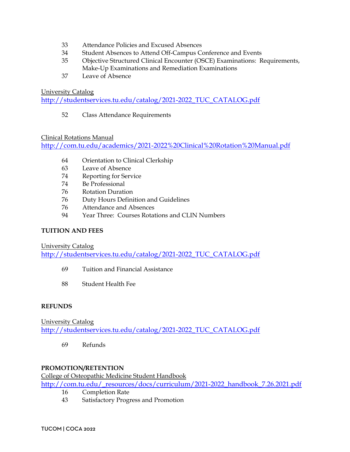- 33 Attendance Policies and Excused Absences
- 34 Student Absences to Attend Off-Campus Conference and Events
- 35 Objective Structured Clinical Encounter (OSCE) Examinations: Requirements, Make-Up Examinations and Remediation Examinations
- 37 Leave of Absence

#### University Catalog

[http://studentservices.tu.edu/catalog/2021-2022\\_TUC\\_CATALOG.pdf](http://studentservices.tu.edu/catalog/2021-2022_TUC_CATALOG.pdf)

52 Class Attendance Requirements

## Clinical Rotations Manual

<http://com.tu.edu/academics/2021-2022%20Clinical%20Rotation%20Manual.pdf>

- 64 Orientation to Clinical Clerkship
- 63 Leave of Absence
- 74 Reporting for Service
- 74 Be Professional
- 76 Rotation Duration
- 76 Duty Hours Definition and Guidelines
- 76 Attendance and Absences
- 94 Year Three: Courses Rotations and CLIN Numbers

## **TUITION AND FEES**

University Catalog

[http://studentservices.tu.edu/catalog/2021-2022\\_TUC\\_CATALOG.pdf](http://studentservices.tu.edu/catalog/2021-2022_TUC_CATALOG.pdf)

- 69 Tuition and Financial Assistance
- 88 Student Health Fee

## **REFUNDS**

University Catalog [http://studentservices.tu.edu/catalog/2021-2022\\_TUC\\_CATALOG.pdf](http://studentservices.tu.edu/catalog/2021-2022_TUC_CATALOG.pdf)

69 Refunds

## **PROMOTION/RETENTION**

College of Osteopathic Medicine Student Handbook

[http://com.tu.edu/\\_resources/docs/curriculum/2021-2022\\_handbook\\_7.26.2021.pdf](http://com.tu.edu/_resources/docs/curriculum/2021-2022_handbook_7.26.2021.pdf)

- 16 Completion Rate
- 43 Satisfactory Progress and Promotion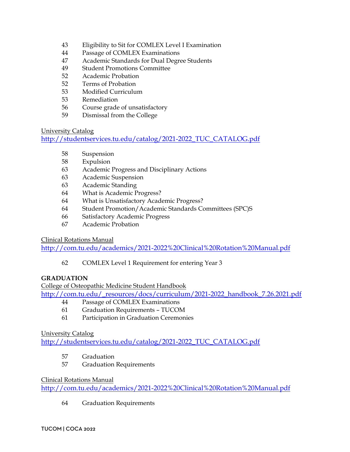- Eligibility to Sit for COMLEX Level I Examination
- Passage of COMLEX Examinations
- Academic Standards for Dual Degree Students
- Student Promotions Committee
- Academic Probation
- Terms of Probation
- Modified Curriculum
- Remediation
- Course grade of unsatisfactory
- Dismissal from the College

## University Catalog

[http://studentservices.tu.edu/catalog/2021-2022\\_TUC\\_CATALOG.pdf](http://studentservices.tu.edu/catalog/2021-2022_TUC_CATALOG.pdf)

- Suspension
- Expulsion
- Academic Progress and Disciplinary Actions
- Academic Suspension
- Academic Standing
- What is Academic Progress?
- What is Unsatisfactory Academic Progress?
- Student Promotion/Academic Standards Committees (SPC)S
- Satisfactory Academic Progress
- Academic Probation

Clinical Rotations Manual

<http://com.tu.edu/academics/2021-2022%20Clinical%20Rotation%20Manual.pdf>

COMLEX Level 1 Requirement for entering Year 3

## **GRADUATION**

College of Osteopathic Medicine Student Handbook [http://com.tu.edu/\\_resources/docs/curriculum/2021-2022\\_handbook\\_7.26.2021.pdf](http://com.tu.edu/_resources/docs/curriculum/2021-2022_handbook_7.26.2021.pdf)

- Passage of COMLEX Examinations
- Graduation Requirements TUCOM
- Participation in Graduation Ceremonies

## University Catalog

[http://studentservices.tu.edu/catalog/2021-2022\\_TUC\\_CATALOG.pdf](http://studentservices.tu.edu/catalog/2021-2022_TUC_CATALOG.pdf)

- Graduation
- Graduation Requirements

## Clinical Rotations Manual

<http://com.tu.edu/academics/2021-2022%20Clinical%20Rotation%20Manual.pdf>

Graduation Requirements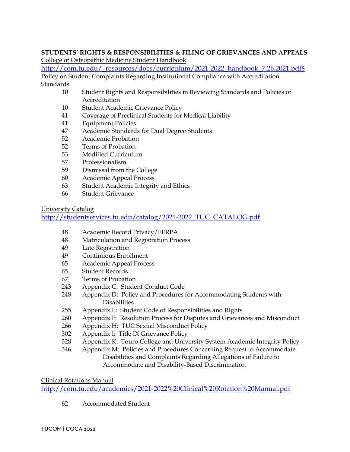## **STUDENTS' RIGHTS & RESPONSIBILITIES & FILING OF GRIEVANCES AND APPEALS** College of Osteopathic Medicine Student Handbook

[http://com.tu.edu/\\_resources/docs/curriculum/2021-2022\\_handbook\\_7.26.2021.pdf8](http://com.tu.edu/_resources/docs/curriculum/2021-2022_handbook_7.26.2021.pdf8) Policy on Student Complaints Regarding Institutional Compliance with Accreditation **Standards** 

- Student Rights and Responsibilities in Reviewing Standards and Policies of Accreditation
- Student Academic Grievance Policy
- Coverage of Preclinical Students for Medical Liability
- Equipment Policies
- Academic Standards for Dual Degree Students
- Academic Probation
- Terms of Probation
- Modified Curriculum
- Professionalism
- Dismissal from the College
- Academic Appeal Process
- Student Academic Integrity and Ethics
- Student Grievance

University Catalog

[http://studentservices.tu.edu/catalog/2021-2022\\_TUC\\_CATALOG.pdf](http://studentservices.tu.edu/catalog/2021-2022_TUC_CATALOG.pdf)

- Academic Record Privacy/FERPA
- Matriculation and Registration Process
- Late Registration
- Continuous Enrollment
- Academic Appeal Process
- Student Records
- Terms of Probation
- Appendix C: Student Conduct Code
- 248 Appendix D: Policy and Procedures for Accommodating Students with Disabilities
- Appendix E: Student Code of Responsibilities and Rights
- Appendix F: Resolution Process for Disputes and Grievances and Misconduct
- 266 Appendix H: TUC Sexual Misconduct Policy
- Appendix I: Title IX Grievance Policy
- Appendix K: Touro College and University System Academic Integrity Policy
- 346 Appendix M: Policies and Procedures Concerning Request to Accommodate Disabilities and Complaints Regarding Allegations of Failure to Accommodate and Disability-Based Discrimination

# Clinical Rotations Manual

<http://com.tu.edu/academics/2021-2022%20Clinical%20Rotation%20Manual.pdf>

Accommodated Student